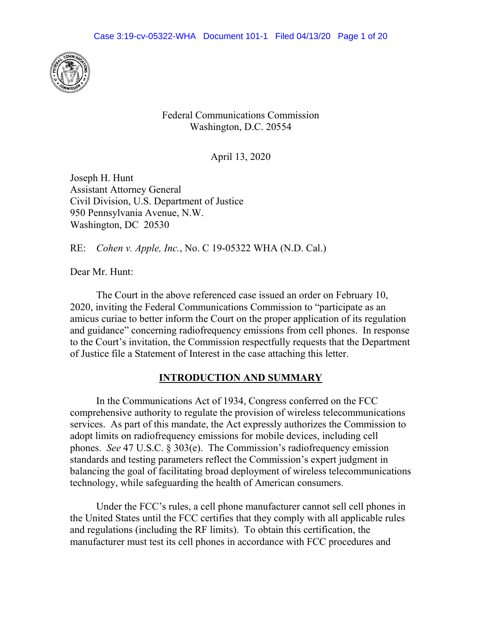

Federal Communications Commission Washington, D.C. 20554

April 13, 2020

Joseph H. Hunt Assistant Attorney General Civil Division, U.S. Department of Justice 950 Pennsylvania Avenue, N.W. Washington, DC 20530

RE: *Cohen v. Apple, Inc.*, No. C 19-05322 WHA (N.D. Cal.)

Dear Mr. Hunt:

The Court in the above referenced case issued an order on February 10, 2020, inviting the Federal Communications Commission to "participate as an amicus curiae to better inform the Court on the proper application of its regulation and guidance" concerning radiofrequency emissions from cell phones. In response to the Court's invitation, the Commission respectfully requests that the Department of Justice file a Statement of Interest in the case attaching this letter.

# **INTRODUCTION AND SUMMARY**

In the Communications Act of 1934, Congress conferred on the FCC comprehensive authority to regulate the provision of wireless telecommunications services. As part of this mandate, the Act expressly authorizes the Commission to adopt limits on radiofrequency emissions for mobile devices, including cell phones. *See* 47 U.S.C. § 303(e). The Commission's radiofrequency emission standards and testing parameters reflect the Commission's expert judgment in balancing the goal of facilitating broad deployment of wireless telecommunications technology, while safeguarding the health of American consumers.

Under the FCC's rules, a cell phone manufacturer cannot sell cell phones in the United States until the FCC certifies that they comply with all applicable rules and regulations (including the RF limits). To obtain this certification, the manufacturer must test its cell phones in accordance with FCC procedures and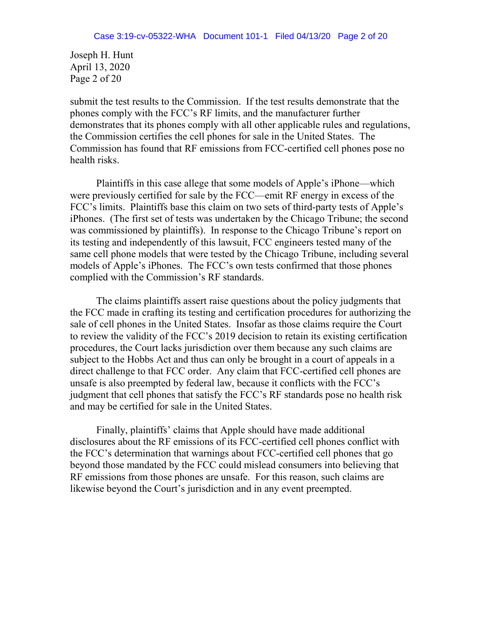Joseph H. Hunt April 13, 2020 Page 2 of 20

submit the test results to the Commission. If the test results demonstrate that the phones comply with the FCC's RF limits, and the manufacturer further demonstrates that its phones comply with all other applicable rules and regulations, the Commission certifies the cell phones for sale in the United States. The Commission has found that RF emissions from FCC-certified cell phones pose no health risks.

Plaintiffs in this case allege that some models of Apple's iPhone—which were previously certified for sale by the FCC—emit RF energy in excess of the FCC's limits. Plaintiffs base this claim on two sets of third-party tests of Apple's iPhones. (The first set of tests was undertaken by the Chicago Tribune; the second was commissioned by plaintiffs). In response to the Chicago Tribune's report on its testing and independently of this lawsuit, FCC engineers tested many of the same cell phone models that were tested by the Chicago Tribune, including several models of Apple's iPhones. The FCC's own tests confirmed that those phones complied with the Commission's RF standards.

The claims plaintiffs assert raise questions about the policy judgments that the FCC made in crafting its testing and certification procedures for authorizing the sale of cell phones in the United States. Insofar as those claims require the Court to review the validity of the FCC's 2019 decision to retain its existing certification procedures, the Court lacks jurisdiction over them because any such claims are subject to the Hobbs Act and thus can only be brought in a court of appeals in a direct challenge to that FCC order. Any claim that FCC-certified cell phones are unsafe is also preempted by federal law, because it conflicts with the FCC's judgment that cell phones that satisfy the FCC's RF standards pose no health risk and may be certified for sale in the United States.

Finally, plaintiffs' claims that Apple should have made additional disclosures about the RF emissions of its FCC-certified cell phones conflict with the FCC's determination that warnings about FCC-certified cell phones that go beyond those mandated by the FCC could mislead consumers into believing that RF emissions from those phones are unsafe. For this reason, such claims are likewise beyond the Court's jurisdiction and in any event preempted.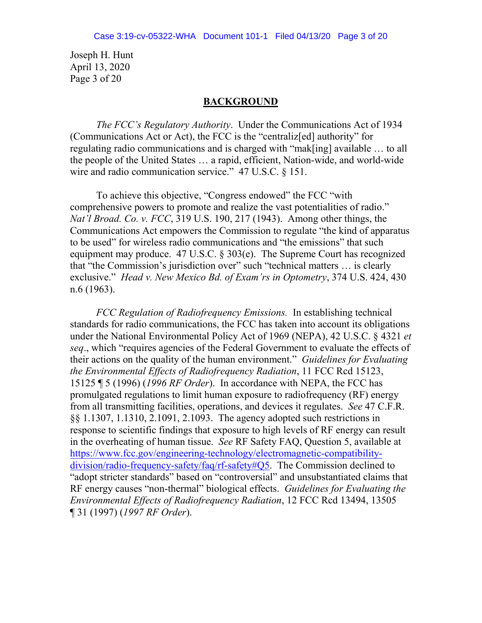Joseph H. Hunt April 13, 2020 Page 3 of 20

#### **BACKGROUND**

*The FCC's Regulatory Authority*.Under the Communications Act of 1934 (Communications Act or Act), the FCC is the "centraliz[ed] authority" for regulating radio communications and is charged with "mak[ing] available … to all the people of the United States … a rapid, efficient, Nation-wide, and world-wide wire and radio communication service." 47 U.S.C. § 151.

To achieve this objective, "Congress endowed" the FCC "with comprehensive powers to promote and realize the vast potentialities of radio." *Nat'l Broad. Co. v. FCC*, 319 U.S. 190, 217 (1943). Among other things, the Communications Act empowers the Commission to regulate "the kind of apparatus to be used" for wireless radio communications and "the emissions" that such equipment may produce. 47 U.S.C. § 303(e). The Supreme Court has recognized that "the Commission's jurisdiction over" such "technical matters … is clearly exclusive." *Head v. New Mexico Bd. of Exam'rs in Optometry*, 374 U.S. 424, 430 n.6 (1963).

*FCC Regulation of Radiofrequency Emissions.* In establishing technical standards for radio communications, the FCC has taken into account its obligations under the National Environmental Policy Act of 1969 (NEPA), 42 U.S.C. § 4321 *et seq*., which "requires agencies of the Federal Government to evaluate the effects of their actions on the quality of the human environment." *Guidelines for Evaluating the Environmental Effects of Radiofrequency Radiation*, 11 FCC Rcd 15123, 15125 ¶ 5 (1996) (*1996 RF Order*). In accordance with NEPA, the FCC has promulgated regulations to limit human exposure to radiofrequency (RF) energy from all transmitting facilities, operations, and devices it regulates. *See* 47 C.F.R. §§ 1.1307, 1.1310, 2.1091, 2.1093. The agency adopted such restrictions in response to scientific findings that exposure to high levels of RF energy can result in the overheating of human tissue. *See* RF Safety FAQ, Question 5, available at [https://www.fcc.gov/engineering-technology/electromagnetic-compatibility](https://www.fcc.gov/engineering-technology/electromagnetic-compatibility-division/radio-frequency-safety/faq/rf-safety#Q5)[division/radio-frequency-safety/faq/rf-safety#Q5.](https://www.fcc.gov/engineering-technology/electromagnetic-compatibility-division/radio-frequency-safety/faq/rf-safety#Q5) The Commission declined to "adopt stricter standards" based on "controversial" and unsubstantiated claims that RF energy causes "non-thermal" biological effects. *Guidelines for Evaluating the Environmental Effects of Radiofrequency Radiation*, 12 FCC Rcd 13494, 13505 ¶ 31 (1997) (*1997 RF Order*).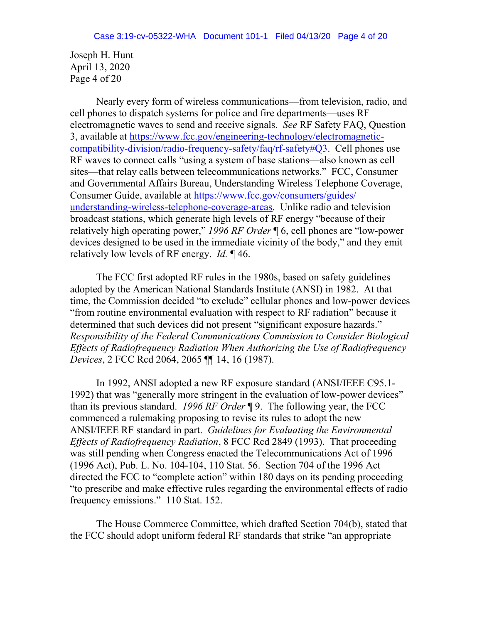Joseph H. Hunt April 13, 2020 Page 4 of 20

Nearly every form of wireless communications—from television, radio, and cell phones to dispatch systems for police and fire departments—uses RF electromagnetic waves to send and receive signals. *See* RF Safety FAQ, Question 3, available at [https://www.fcc.gov/engineering-technology/electromagnetic](https://www.fcc.gov/engineering-technology/electromagnetic-compatibility-division/radio-frequency-safety/faq/rf-safety#Q3)[compatibility-division/radio-frequency-safety/faq/rf-safety#Q3.](https://www.fcc.gov/engineering-technology/electromagnetic-compatibility-division/radio-frequency-safety/faq/rf-safety#Q3) Cell phones use RF waves to connect calls "using a system of base stations—also known as cell sites—that relay calls between telecommunications networks." FCC, Consumer and Governmental Affairs Bureau, Understanding Wireless Telephone Coverage, Consumer Guide, available at [https://www.fcc.gov/consumers/guides/](https://www.fcc.gov/consumers/guides/understanding-wireless-telephone-coverage-areas) [understanding-wireless-telephone-coverage-areas.](https://www.fcc.gov/consumers/guides/understanding-wireless-telephone-coverage-areas) Unlike radio and television broadcast stations, which generate high levels of RF energy "because of their relatively high operating power," *1996 RF Order* ¶ 6, cell phones are "low-power devices designed to be used in the immediate vicinity of the body," and they emit relatively low levels of RF energy. *Id.* ¶ 46.

The FCC first adopted RF rules in the 1980s, based on safety guidelines adopted by the American National Standards Institute (ANSI) in 1982. At that time, the Commission decided "to exclude" cellular phones and low-power devices "from routine environmental evaluation with respect to RF radiation" because it determined that such devices did not present "significant exposure hazards." *Responsibility of the Federal Communications Commission to Consider Biological Effects of Radiofrequency Radiation When Authorizing the Use of Radiofrequency Devices*, 2 FCC Rcd 2064, 2065 ¶¶ 14, 16 (1987).

In 1992, ANSI adopted a new RF exposure standard (ANSI/IEEE C95.1- 1992) that was "generally more stringent in the evaluation of low-power devices" than its previous standard. *1996 RF Order* ¶ 9. The following year, the FCC commenced a rulemaking proposing to revise its rules to adopt the new ANSI/IEEE RF standard in part. *Guidelines for Evaluating the Environmental Effects of Radiofrequency Radiation*, 8 FCC Rcd 2849 (1993). That proceeding was still pending when Congress enacted the Telecommunications Act of 1996 (1996 Act), Pub. L. No. 104-104, 110 Stat. 56. Section 704 of the 1996 Act directed the FCC to "complete action" within 180 days on its pending proceeding "to prescribe and make effective rules regarding the environmental effects of radio frequency emissions." 110 Stat. 152.

The House Commerce Committee, which drafted Section 704(b), stated that the FCC should adopt uniform federal RF standards that strike "an appropriate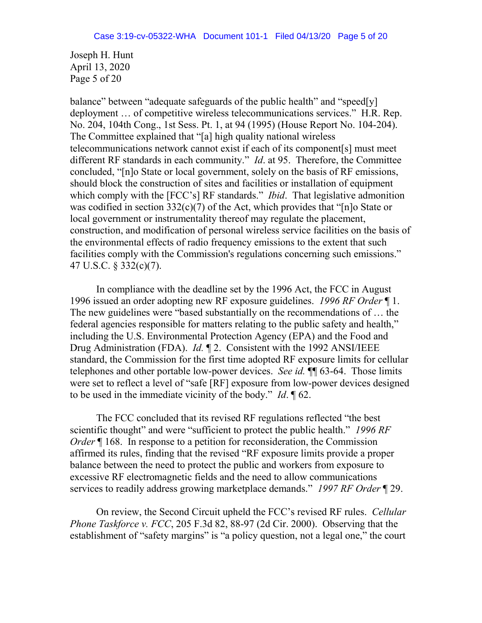Joseph H. Hunt April 13, 2020 Page 5 of 20

balance" between "adequate safeguards of the public health" and "speed[y] deployment … of competitive wireless telecommunications services." H.R. Rep. No. 204, 104th Cong., 1st Sess. Pt. 1, at 94 (1995) (House Report No. 104-204). The Committee explained that "[a] high quality national wireless telecommunications network cannot exist if each of its component[s] must meet different RF standards in each community." *Id*. at 95. Therefore, the Committee concluded, "[n]o State or local government, solely on the basis of RF emissions, should block the construction of sites and facilities or installation of equipment which comply with the [FCC's] RF standards." *Ibid*. That legislative admonition was codified in section 332(c)(7) of the Act, which provides that "[n]o State or local government or instrumentality thereof may regulate the placement, construction, and modification of personal wireless service facilities on the basis of the environmental effects of radio frequency emissions to the extent that such facilities comply with the Commission's regulations concerning such emissions." 47 U.S.C. § 332(c)(7).

In compliance with the deadline set by the 1996 Act, the FCC in August 1996 issued an order adopting new RF exposure guidelines. *1996 RF Order* ¶ 1. The new guidelines were "based substantially on the recommendations of … the federal agencies responsible for matters relating to the public safety and health," including the U.S. Environmental Protection Agency (EPA) and the Food and Drug Administration (FDA). *Id.* ¶ 2. Consistent with the 1992 ANSI/IEEE standard, the Commission for the first time adopted RF exposure limits for cellular telephones and other portable low-power devices. *See id.* ¶¶ 63-64. Those limits were set to reflect a level of "safe [RF] exposure from low-power devices designed to be used in the immediate vicinity of the body." *Id*. ¶ 62.

The FCC concluded that its revised RF regulations reflected "the best scientific thought" and were "sufficient to protect the public health." *1996 RF Order*  $\llbracket$  168. In response to a petition for reconsideration, the Commission affirmed its rules, finding that the revised "RF exposure limits provide a proper balance between the need to protect the public and workers from exposure to excessive RF electromagnetic fields and the need to allow communications services to readily address growing marketplace demands." *1997 RF Order* ¶ 29.

On review, the Second Circuit upheld the FCC's revised RF rules. *Cellular Phone Taskforce v. FCC*, 205 F.3d 82, 88-97 (2d Cir. 2000). Observing that the establishment of "safety margins" is "a policy question, not a legal one," the court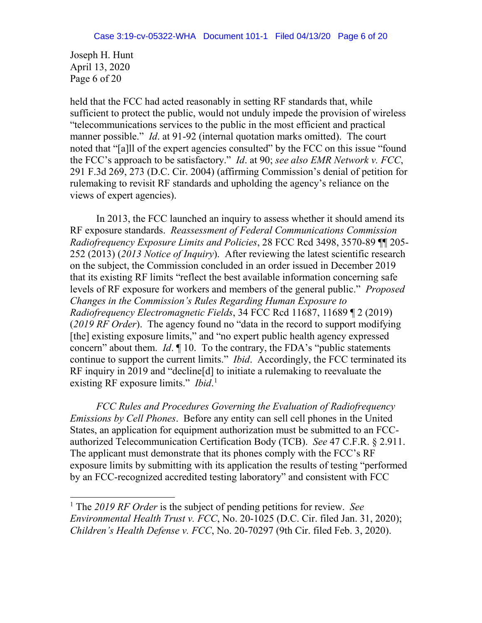Joseph H. Hunt April 13, 2020 Page 6 of 20

l

held that the FCC had acted reasonably in setting RF standards that, while sufficient to protect the public, would not unduly impede the provision of wireless "telecommunications services to the public in the most efficient and practical manner possible." *Id*. at 91-92 (internal quotation marks omitted). The court noted that "[a]ll of the expert agencies consulted" by the FCC on this issue "found the FCC's approach to be satisfactory." *Id*. at 90; *see also EMR Network v. FCC*, 291 F.3d 269, 273 (D.C. Cir. 2004) (affirming Commission's denial of petition for rulemaking to revisit RF standards and upholding the agency's reliance on the views of expert agencies).

In 2013, the FCC launched an inquiry to assess whether it should amend its RF exposure standards. *Reassessment of Federal Communications Commission Radiofrequency Exposure Limits and Policies*, 28 FCC Rcd 3498, 3570-89 ¶¶ 205- 252 (2013) (*2013 Notice of Inquiry*). After reviewing the latest scientific research on the subject, the Commission concluded in an order issued in December 2019 that its existing RF limits "reflect the best available information concerning safe levels of RF exposure for workers and members of the general public." *Proposed Changes in the Commission's Rules Regarding Human Exposure to Radiofrequency Electromagnetic Fields*, 34 FCC Rcd 11687, 11689 ¶ 2 (2019) (*2019 RF Order*). The agency found no "data in the record to support modifying [the] existing exposure limits," and "no expert public health agency expressed concern" about them. *Id*. ¶ 10. To the contrary, the FDA's "public statements continue to support the current limits." *Ibid*. Accordingly, the FCC terminated its RF inquiry in 2019 and "decline[d] to initiate a rulemaking to reevaluate the existing RF exposure limits." *Ibid*.<sup>1</sup>

*FCC Rules and Procedures Governing the Evaluation of Radiofrequency Emissions by Cell Phones*. Before any entity can sell cell phones in the United States, an application for equipment authorization must be submitted to an FCCauthorized Telecommunication Certification Body (TCB). *See* 47 C.F.R. § 2.911. The applicant must demonstrate that its phones comply with the FCC's RF exposure limits by submitting with its application the results of testing "performed by an FCC-recognized accredited testing laboratory" and consistent with FCC

<sup>1</sup> The *2019 RF Order* is the subject of pending petitions for review. *See Environmental Health Trust v. FCC*, No. 20-1025 (D.C. Cir. filed Jan. 31, 2020); *Children's Health Defense v. FCC*, No. 20-70297 (9th Cir. filed Feb. 3, 2020).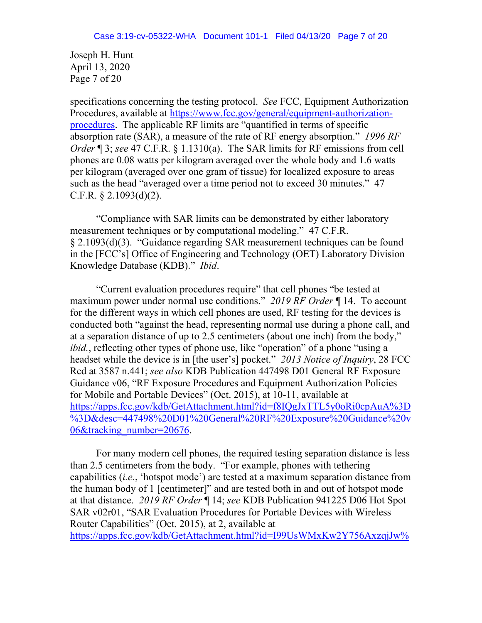Joseph H. Hunt April 13, 2020 Page 7 of 20

specifications concerning the testing protocol. *See* FCC, Equipment Authorization Procedures, available at [https://www.fcc.gov/general/equipment-authorization](https://www.fcc.gov/general/equipment-authorization-procedures)[procedures.](https://www.fcc.gov/general/equipment-authorization-procedures) The applicable RF limits are "quantified in terms of specific absorption rate (SAR), a measure of the rate of RF energy absorption." *1996 RF Order* ¶ 3; *see* 47 C.F.R. § 1.1310(a). The SAR limits for RF emissions from cell phones are 0.08 watts per kilogram averaged over the whole body and 1.6 watts per kilogram (averaged over one gram of tissue) for localized exposure to areas such as the head "averaged over a time period not to exceed 30 minutes." 47 C.F.R. § 2.1093(d)(2).

"Compliance with SAR limits can be demonstrated by either laboratory measurement techniques or by computational modeling." 47 C.F.R. § 2.1093(d)(3). "Guidance regarding SAR measurement techniques can be found in the [FCC's] Office of Engineering and Technology (OET) Laboratory Division Knowledge Database (KDB)." *Ibid*.

"Current evaluation procedures require" that cell phones "be tested at maximum power under normal use conditions." *2019 RF Order* ¶ 14. To account for the different ways in which cell phones are used, RF testing for the devices is conducted both "against the head, representing normal use during a phone call, and at a separation distance of up to 2.5 centimeters (about one inch) from the body," *ibid.*, reflecting other types of phone use, like "operation" of a phone "using a headset while the device is in [the user's] pocket." *2013 Notice of Inquiry*, 28 FCC Rcd at 3587 n.441; *see also* KDB Publication 447498 D01 General RF Exposure Guidance v06, "RF Exposure Procedures and Equipment Authorization Policies for Mobile and Portable Devices" (Oct. 2015), at 10-11, available at [https://apps.fcc.gov/kdb/GetAttachment.html?id=f8IQgJxTTL5y0oRi0cpAuA%3D](https://apps.fcc.gov/kdb/GetAttachment.html?id=f8IQgJxTTL5y0oRi0cpAuA%3D%3D&desc=447498%20D01%20General%20RF%20Exposure%20Guidance%20v06&tracking_number=20676) [%3D&desc=447498%20D01%20General%20RF%20Exposure%20Guidance%20v](https://apps.fcc.gov/kdb/GetAttachment.html?id=f8IQgJxTTL5y0oRi0cpAuA%3D%3D&desc=447498%20D01%20General%20RF%20Exposure%20Guidance%20v06&tracking_number=20676) [06&tracking\\_number=20676.](https://apps.fcc.gov/kdb/GetAttachment.html?id=f8IQgJxTTL5y0oRi0cpAuA%3D%3D&desc=447498%20D01%20General%20RF%20Exposure%20Guidance%20v06&tracking_number=20676)

For many modern cell phones, the required testing separation distance is less than 2.5 centimeters from the body. "For example, phones with tethering capabilities (*i.e.*, 'hotspot mode') are tested at a maximum separation distance from the human body of 1 [centimeter]" and are tested both in and out of hotspot mode at that distance. *2019 RF Order* ¶ 14; *see* KDB Publication 941225 D06 Hot Spot SAR v02r01, "SAR Evaluation Procedures for Portable Devices with Wireless Router Capabilities" (Oct. 2015), at 2, available at [https://apps.fcc.gov/kdb/GetAttachment.html?id=I99UsWMxKw2Y756AxzqjJw%](https://apps.fcc.gov/kdb/GetAttachment.html?id=I99UsWMxKw2Y756AxzqjJw%3D%3D&desc=941225%20D06%20Hotspot%20Mode%20v02r01&tracking_number=26930)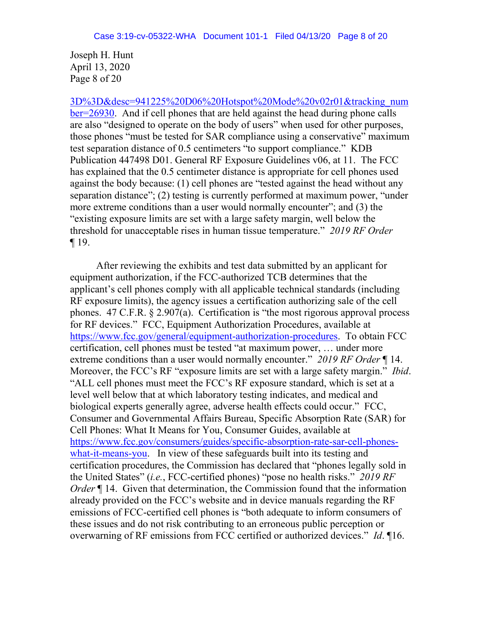Joseph H. Hunt April 13, 2020 Page 8 of 20

[3D%3D&desc=941225%20D06%20Hotspot%20Mode%20v02r01&tracking\\_num](https://apps.fcc.gov/kdb/GetAttachment.html?id=I99UsWMxKw2Y756AxzqjJw%3D%3D&desc=941225%20D06%20Hotspot%20Mode%20v02r01&tracking_number=26930) [ber=26930.](https://apps.fcc.gov/kdb/GetAttachment.html?id=I99UsWMxKw2Y756AxzqjJw%3D%3D&desc=941225%20D06%20Hotspot%20Mode%20v02r01&tracking_number=26930) And if cell phones that are held against the head during phone calls are also "designed to operate on the body of users" when used for other purposes, those phones "must be tested for SAR compliance using a conservative" maximum test separation distance of 0.5 centimeters "to support compliance." KDB Publication 447498 D01. General RF Exposure Guidelines v06, at 11. The FCC has explained that the 0.5 centimeter distance is appropriate for cell phones used against the body because: (1) cell phones are "tested against the head without any separation distance"; (2) testing is currently performed at maximum power, "under more extreme conditions than a user would normally encounter"; and (3) the "existing exposure limits are set with a large safety margin, well below the threshold for unacceptable rises in human tissue temperature." *2019 RF Order* ¶ 19.

After reviewing the exhibits and test data submitted by an applicant for equipment authorization, if the FCC-authorized TCB determines that the applicant's cell phones comply with all applicable technical standards (including RF exposure limits), the agency issues a certification authorizing sale of the cell phones. 47 C.F.R. § 2.907(a). Certification is "the most rigorous approval process for RF devices." FCC, Equipment Authorization Procedures, available at [https://www.fcc.gov/general/equipment-authorization-procedures.](https://www.fcc.gov/general/equipment-authorization-procedures) To obtain FCC certification, cell phones must be tested "at maximum power, … under more extreme conditions than a user would normally encounter." *2019 RF Order* ¶ 14. Moreover, the FCC's RF "exposure limits are set with a large safety margin." *Ibid*. "ALL cell phones must meet the FCC's RF exposure standard, which is set at a level well below that at which laboratory testing indicates, and medical and biological experts generally agree, adverse health effects could occur." FCC, Consumer and Governmental Affairs Bureau, Specific Absorption Rate (SAR) for Cell Phones: What It Means for You, Consumer Guides, available at [https://www.fcc.gov/consumers/guides/specific-absorption-rate-sar-cell-phones](https://www.fcc.gov/consumers/guides/specific-absorption-rate-sar-cell-phones-what-it-means-you)[what-it-means-you.](https://www.fcc.gov/consumers/guides/specific-absorption-rate-sar-cell-phones-what-it-means-you) In view of these safeguards built into its testing and certification procedures, the Commission has declared that "phones legally sold in the United States" (*i.e.*, FCC-certified phones) "pose no health risks." *2019 RF Order*  $\llbracket$  14. Given that determination, the Commission found that the information already provided on the FCC's website and in device manuals regarding the RF emissions of FCC-certified cell phones is "both adequate to inform consumers of these issues and do not risk contributing to an erroneous public perception or overwarning of RF emissions from FCC certified or authorized devices." *Id*. ¶16.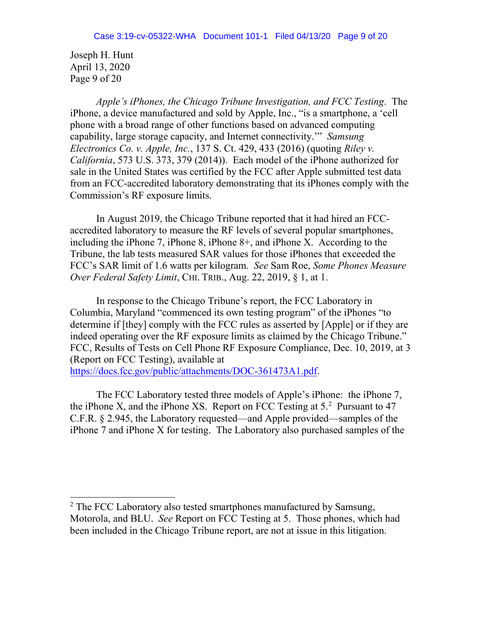Joseph H. Hunt April 13, 2020 Page 9 of 20

l

*Apple's iPhones, the Chicago Tribune Investigation, and FCC Testing*. The iPhone, a device manufactured and sold by Apple, Inc., "is a smartphone, a 'cell phone with a broad range of other functions based on advanced computing capability, large storage capacity, and Internet connectivity.'" *Samsung Electronics Co. v. Apple, Inc.*, 137 S. Ct. 429, 433 (2016) (quoting *Riley v. California*, 573 U.S. 373, 379 (2014)). Each model of the iPhone authorized for sale in the United States was certified by the FCC after Apple submitted test data from an FCC-accredited laboratory demonstrating that its iPhones comply with the Commission's RF exposure limits.

In August 2019, the Chicago Tribune reported that it had hired an FCCaccredited laboratory to measure the RF levels of several popular smartphones, including the iPhone 7, iPhone 8, iPhone 8+, and iPhone X. According to the Tribune, the lab tests measured SAR values for those iPhones that exceeded the FCC's SAR limit of 1.6 watts per kilogram. *See* Sam Roe, *Some Phones Measure Over Federal Safety Limit*, CHI. TRIB., Aug. 22, 2019, § 1, at 1.

In response to the Chicago Tribune's report, the FCC Laboratory in Columbia, Maryland "commenced its own testing program" of the iPhones "to determine if [they] comply with the FCC rules as asserted by [Apple] or if they are indeed operating over the RF exposure limits as claimed by the Chicago Tribune." FCC, Results of Tests on Cell Phone RF Exposure Compliance, Dec. 10, 2019, at 3 (Report on FCC Testing), available at

[https://docs.fcc.gov/public/attachments/DOC-361473A1.pdf.](https://docs.fcc.gov/public/attachments/DOC-361473A1.pdf)

The FCC Laboratory tested three models of Apple's iPhone: the iPhone 7, the iPhone X, and the iPhone XS. Report on FCC Testing at  $5<sup>2</sup>$  Pursuant to 47 C.F.R. § 2.945, the Laboratory requested—and Apple provided—samples of the iPhone 7 and iPhone X for testing. The Laboratory also purchased samples of the

<sup>&</sup>lt;sup>2</sup> The FCC Laboratory also tested smartphones manufactured by Samsung, Motorola, and BLU. *See* Report on FCC Testing at 5. Those phones, which had been included in the Chicago Tribune report, are not at issue in this litigation.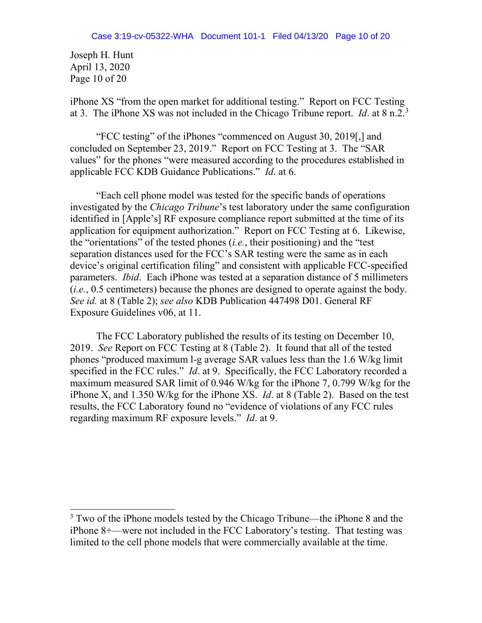Joseph H. Hunt April 13, 2020 Page 10 of 20

l

iPhone XS "from the open market for additional testing." Report on FCC Testing at 3. The iPhone XS was not included in the Chicago Tribune report. *Id*. at 8 n.2.3

"FCC testing" of the iPhones "commenced on August 30, 2019[,] and concluded on September 23, 2019." Report on FCC Testing at 3. The "SAR values" for the phones "were measured according to the procedures established in applicable FCC KDB Guidance Publications." *Id*. at 6.

"Each cell phone model was tested for the specific bands of operations investigated by the *Chicago Tribune*'s test laboratory under the same configuration identified in [Apple's] RF exposure compliance report submitted at the time of its application for equipment authorization." Report on FCC Testing at 6. Likewise, the "orientations" of the tested phones (*i.e.*, their positioning) and the "test separation distances used for the FCC's SAR testing were the same as in each device's original certification filing" and consistent with applicable FCC-specified parameters. *Ibid*. Each iPhone was tested at a separation distance of 5 millimeters (*i.e.*, 0.5 centimeters) because the phones are designed to operate against the body. *See id.* at 8 (Table 2); *see also* KDB Publication 447498 D01. General RF Exposure Guidelines v06, at 11.

The FCC Laboratory published the results of its testing on December 10, 2019. *See* Report on FCC Testing at 8 (Table 2). It found that all of the tested phones "produced maximum l-g average SAR values less than the 1.6 W/kg limit specified in the FCC rules." *Id*. at 9. Specifically, the FCC Laboratory recorded a maximum measured SAR limit of 0.946 W/kg for the iPhone 7, 0.799 W/kg for the iPhone X, and 1.350 W/kg for the iPhone XS. *Id*. at 8 (Table 2). Based on the test results, the FCC Laboratory found no "evidence of violations of any FCC rules regarding maximum RF exposure levels." *Id*. at 9.

 $3$  Two of the iPhone models tested by the Chicago Tribune—the iPhone 8 and the iPhone 8+—were not included in the FCC Laboratory's testing. That testing was limited to the cell phone models that were commercially available at the time.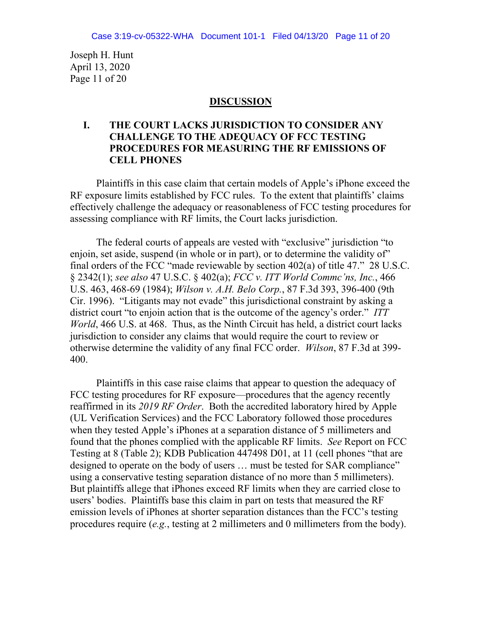Joseph H. Hunt April 13, 2020 Page 11 of 20

## **DISCUSSION**

## **I. THE COURT LACKS JURISDICTION TO CONSIDER ANY CHALLENGE TO THE ADEQUACY OF FCC TESTING PROCEDURES FOR MEASURING THE RF EMISSIONS OF CELL PHONES**

Plaintiffs in this case claim that certain models of Apple's iPhone exceed the RF exposure limits established by FCC rules. To the extent that plaintiffs' claims effectively challenge the adequacy or reasonableness of FCC testing procedures for assessing compliance with RF limits, the Court lacks jurisdiction.

The federal courts of appeals are vested with "exclusive" jurisdiction "to enjoin, set aside, suspend (in whole or in part), or to determine the validity of" final orders of the FCC "made reviewable by section 402(a) of title 47." 28 U.S.C. § 2342(1); *see also* 47 U.S.C. § 402(a); *FCC v. ITT World Commc'ns, Inc.*, 466 U.S. 463, 468-69 (1984); *Wilson v. A.H. Belo Corp.*, 87 F.3d 393, 396-400 (9th Cir. 1996). "Litigants may not evade" this jurisdictional constraint by asking a district court "to enjoin action that is the outcome of the agency's order." *ITT World*, 466 U.S. at 468. Thus, as the Ninth Circuit has held, a district court lacks jurisdiction to consider any claims that would require the court to review or otherwise determine the validity of any final FCC order. *Wilson*, 87 F.3d at 399- 400.

Plaintiffs in this case raise claims that appear to question the adequacy of FCC testing procedures for RF exposure—procedures that the agency recently reaffirmed in its *2019 RF Order*. Both the accredited laboratory hired by Apple (UL Verification Services) and the FCC Laboratory followed those procedures when they tested Apple's iPhones at a separation distance of 5 millimeters and found that the phones complied with the applicable RF limits. *See* Report on FCC Testing at 8 (Table 2); KDB Publication 447498 D01, at 11 (cell phones "that are designed to operate on the body of users … must be tested for SAR compliance" using a conservative testing separation distance of no more than 5 millimeters). But plaintiffs allege that iPhones exceed RF limits when they are carried close to users' bodies. Plaintiffs base this claim in part on tests that measured the RF emission levels of iPhones at shorter separation distances than the FCC's testing procedures require (*e.g.*, testing at 2 millimeters and 0 millimeters from the body).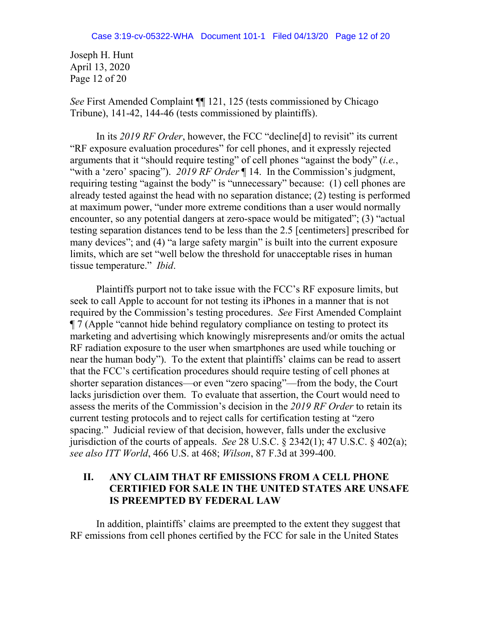Joseph H. Hunt April 13, 2020 Page 12 of 20

*See* First Amended Complaint ¶¶ 121, 125 (tests commissioned by Chicago Tribune), 141-42, 144-46 (tests commissioned by plaintiffs).

In its *2019 RF Order*, however, the FCC "decline[d] to revisit" its current "RF exposure evaluation procedures" for cell phones, and it expressly rejected arguments that it "should require testing" of cell phones "against the body" (*i.e.*, "with a 'zero' spacing"). *2019 RF Order* ¶ 14. In the Commission's judgment, requiring testing "against the body" is "unnecessary" because: (1) cell phones are already tested against the head with no separation distance; (2) testing is performed at maximum power, "under more extreme conditions than a user would normally encounter, so any potential dangers at zero-space would be mitigated"; (3) "actual testing separation distances tend to be less than the 2.5 [centimeters] prescribed for many devices"; and (4) "a large safety margin" is built into the current exposure limits, which are set "well below the threshold for unacceptable rises in human tissue temperature." *Ibid*.

Plaintiffs purport not to take issue with the FCC's RF exposure limits, but seek to call Apple to account for not testing its iPhones in a manner that is not required by the Commission's testing procedures. *See* First Amended Complaint ¶ 7 (Apple "cannot hide behind regulatory compliance on testing to protect its marketing and advertising which knowingly misrepresents and/or omits the actual RF radiation exposure to the user when smartphones are used while touching or near the human body"). To the extent that plaintiffs' claims can be read to assert that the FCC's certification procedures should require testing of cell phones at shorter separation distances—or even "zero spacing"—from the body, the Court lacks jurisdiction over them. To evaluate that assertion, the Court would need to assess the merits of the Commission's decision in the *2019 RF Order* to retain its current testing protocols and to reject calls for certification testing at "zero spacing." Judicial review of that decision, however, falls under the exclusive jurisdiction of the courts of appeals. *See* 28 U.S.C. § 2342(1); 47 U.S.C. § 402(a); *see also ITT World*, 466 U.S. at 468; *Wilson*, 87 F.3d at 399-400.

# **II. ANY CLAIM THAT RF EMISSIONS FROM A CELL PHONE CERTIFIED FOR SALE IN THE UNITED STATES ARE UNSAFE IS PREEMPTED BY FEDERAL LAW**

In addition, plaintiffs' claims are preempted to the extent they suggest that RF emissions from cell phones certified by the FCC for sale in the United States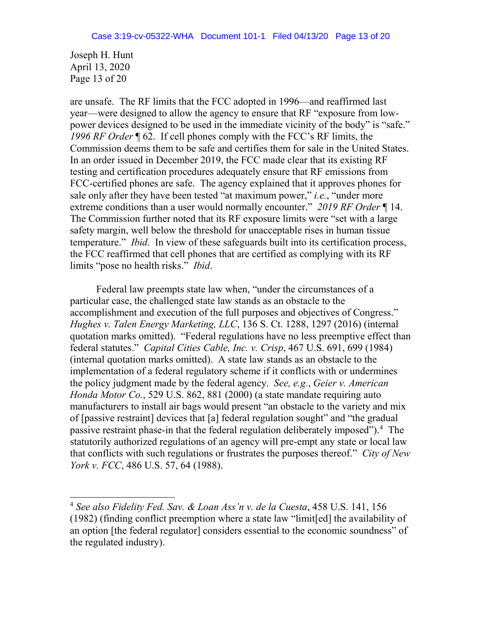Joseph H. Hunt April 13, 2020 Page 13 of 20

l

are unsafe. The RF limits that the FCC adopted in 1996—and reaffirmed last year—were designed to allow the agency to ensure that RF "exposure from lowpower devices designed to be used in the immediate vicinity of the body" is "safe." *1996 RF Order* ¶ 62. If cell phones comply with the FCC's RF limits, the Commission deems them to be safe and certifies them for sale in the United States. In an order issued in December 2019, the FCC made clear that its existing RF testing and certification procedures adequately ensure that RF emissions from FCC-certified phones are safe. The agency explained that it approves phones for sale only after they have been tested "at maximum power," *i.e.*, "under more extreme conditions than a user would normally encounter." *2019 RF Order* ¶ 14. The Commission further noted that its RF exposure limits were "set with a large safety margin, well below the threshold for unacceptable rises in human tissue temperature." *Ibid*. In view of these safeguards built into its certification process, the FCC reaffirmed that cell phones that are certified as complying with its RF limits "pose no health risks." *Ibid*.

Federal law preempts state law when, "under the circumstances of a particular case, the challenged state law stands as an obstacle to the accomplishment and execution of the full purposes and objectives of Congress." *Hughes v. Talen Energy Marketing, LLC*, 136 S. Ct. 1288, 1297 (2016) (internal quotation marks omitted). "Federal regulations have no less preemptive effect than federal statutes." *Capital Cities Cable, Inc. v. Crisp*, 467 U.S. 691, 699 (1984) (internal quotation marks omitted). A state law stands as an obstacle to the implementation of a federal regulatory scheme if it conflicts with or undermines the policy judgment made by the federal agency. *See, e.g.*, *Geier v. American Honda Motor Co.*, 529 U.S. 862, 881 (2000) (a state mandate requiring auto manufacturers to install air bags would present "an obstacle to the variety and mix of [passive restraint] devices that [a] federal regulation sought" and "the gradual passive restraint phase-in that the federal regulation deliberately imposed").<sup>4</sup> The statutorily authorized regulations of an agency will pre-empt any state or local law that conflicts with such regulations or frustrates the purposes thereof." *City of New York v. FCC*, 486 U.S. 57, 64 (1988).

<sup>4</sup> *See also Fidelity Fed. Sav. & Loan Ass'n v. de la Cuesta*, 458 U.S. 141, 156 (1982) (finding conflict preemption where a state law "limit[ed] the availability of an option [the federal regulator] considers essential to the economic soundness" of the regulated industry).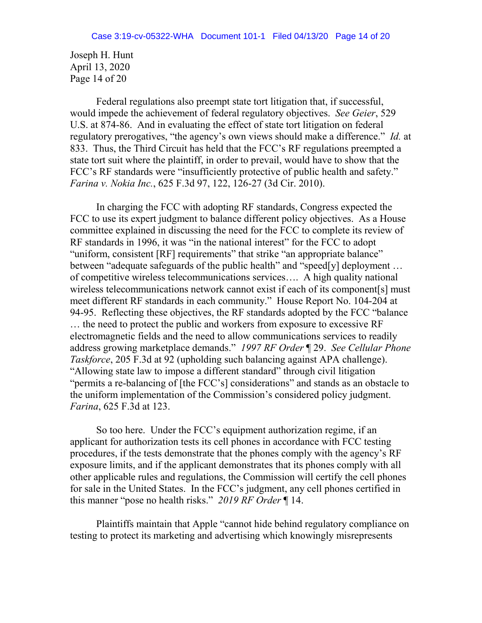Joseph H. Hunt April 13, 2020 Page 14 of 20

Federal regulations also preempt state tort litigation that, if successful, would impede the achievement of federal regulatory objectives. *See Geier*, 529 U.S. at 874-86. And in evaluating the effect of state tort litigation on federal regulatory prerogatives, "the agency's own views should make a difference." *Id.* at 833. Thus, the Third Circuit has held that the FCC's RF regulations preempted a state tort suit where the plaintiff, in order to prevail, would have to show that the FCC's RF standards were "insufficiently protective of public health and safety." *Farina v. Nokia Inc.*, 625 F.3d 97, 122, 126-27 (3d Cir. 2010).

In charging the FCC with adopting RF standards, Congress expected the FCC to use its expert judgment to balance different policy objectives. As a House committee explained in discussing the need for the FCC to complete its review of RF standards in 1996, it was "in the national interest" for the FCC to adopt "uniform, consistent [RF] requirements" that strike "an appropriate balance" between "adequate safeguards of the public health" and "speed[y] deployment ... of competitive wireless telecommunications services…. A high quality national wireless telecommunications network cannot exist if each of its component[s] must meet different RF standards in each community." House Report No. 104-204 at 94-95. Reflecting these objectives, the RF standards adopted by the FCC "balance … the need to protect the public and workers from exposure to excessive RF electromagnetic fields and the need to allow communications services to readily address growing marketplace demands." *1997 RF Order* ¶ 29. *See Cellular Phone Taskforce*, 205 F.3d at 92 (upholding such balancing against APA challenge). "Allowing state law to impose a different standard" through civil litigation "permits a re-balancing of [the FCC's] considerations" and stands as an obstacle to the uniform implementation of the Commission's considered policy judgment. *Farina*, 625 F.3d at 123.

So too here. Under the FCC's equipment authorization regime, if an applicant for authorization tests its cell phones in accordance with FCC testing procedures, if the tests demonstrate that the phones comply with the agency's RF exposure limits, and if the applicant demonstrates that its phones comply with all other applicable rules and regulations, the Commission will certify the cell phones for sale in the United States. In the FCC's judgment, any cell phones certified in this manner "pose no health risks." *2019 RF Order* ¶ 14.

Plaintiffs maintain that Apple "cannot hide behind regulatory compliance on testing to protect its marketing and advertising which knowingly misrepresents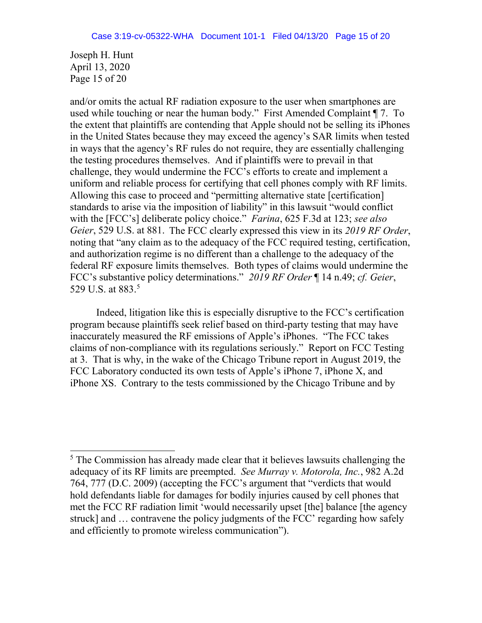Joseph H. Hunt April 13, 2020 Page 15 of 20

l

and/or omits the actual RF radiation exposure to the user when smartphones are used while touching or near the human body." First Amended Complaint ¶ 7. To the extent that plaintiffs are contending that Apple should not be selling its iPhones in the United States because they may exceed the agency's SAR limits when tested in ways that the agency's RF rules do not require, they are essentially challenging the testing procedures themselves. And if plaintiffs were to prevail in that challenge, they would undermine the FCC's efforts to create and implement a uniform and reliable process for certifying that cell phones comply with RF limits. Allowing this case to proceed and "permitting alternative state [certification] standards to arise via the imposition of liability" in this lawsuit "would conflict with the [FCC's] deliberate policy choice." *Farina*, 625 F.3d at 123; *see also Geier*, 529 U.S. at 881. The FCC clearly expressed this view in its *2019 RF Order*, noting that "any claim as to the adequacy of the FCC required testing, certification, and authorization regime is no different than a challenge to the adequacy of the federal RF exposure limits themselves. Both types of claims would undermine the FCC's substantive policy determinations." *2019 RF Order* ¶ 14 n.49; *cf. Geier*, 529 U.S. at 883.5

Indeed, litigation like this is especially disruptive to the FCC's certification program because plaintiffs seek relief based on third-party testing that may have inaccurately measured the RF emissions of Apple's iPhones. "The FCC takes claims of non-compliance with its regulations seriously." Report on FCC Testing at 3. That is why, in the wake of the Chicago Tribune report in August 2019, the FCC Laboratory conducted its own tests of Apple's iPhone 7, iPhone X, and iPhone XS. Contrary to the tests commissioned by the Chicago Tribune and by

<sup>&</sup>lt;sup>5</sup> The Commission has already made clear that it believes lawsuits challenging the adequacy of its RF limits are preempted. *See Murray v. Motorola, Inc.*, 982 A.2d 764, 777 (D.C. 2009) (accepting the FCC's argument that "verdicts that would hold defendants liable for damages for bodily injuries caused by cell phones that met the FCC RF radiation limit 'would necessarily upset [the] balance [the agency struck] and … contravene the policy judgments of the FCC' regarding how safely and efficiently to promote wireless communication").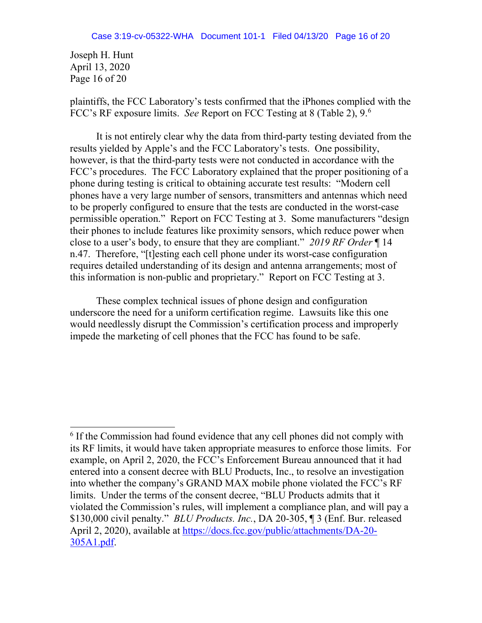Joseph H. Hunt April 13, 2020 Page 16 of 20

l

plaintiffs, the FCC Laboratory's tests confirmed that the iPhones complied with the FCC's RF exposure limits. *See* Report on FCC Testing at 8 (Table 2), 9.6

It is not entirely clear why the data from third-party testing deviated from the results yielded by Apple's and the FCC Laboratory's tests. One possibility, however, is that the third-party tests were not conducted in accordance with the FCC's procedures. The FCC Laboratory explained that the proper positioning of a phone during testing is critical to obtaining accurate test results: "Modern cell phones have a very large number of sensors, transmitters and antennas which need to be properly configured to ensure that the tests are conducted in the worst-case permissible operation." Report on FCC Testing at 3. Some manufacturers "design their phones to include features like proximity sensors, which reduce power when close to a user's body, to ensure that they are compliant." *2019 RF Order* ¶ 14 n.47. Therefore, "[t]esting each cell phone under its worst-case configuration requires detailed understanding of its design and antenna arrangements; most of this information is non-public and proprietary." Report on FCC Testing at 3.

These complex technical issues of phone design and configuration underscore the need for a uniform certification regime. Lawsuits like this one would needlessly disrupt the Commission's certification process and improperly impede the marketing of cell phones that the FCC has found to be safe.

<sup>6</sup> If the Commission had found evidence that any cell phones did not comply with its RF limits, it would have taken appropriate measures to enforce those limits. For example, on April 2, 2020, the FCC's Enforcement Bureau announced that it had entered into a consent decree with BLU Products, Inc., to resolve an investigation into whether the company's GRAND MAX mobile phone violated the FCC's RF limits. Under the terms of the consent decree, "BLU Products admits that it violated the Commission's rules, will implement a compliance plan, and will pay a \$130,000 civil penalty." *BLU Products. Inc.*, DA 20-305, ¶ 3 (Enf. Bur. released April 2, 2020), available at [https://docs.fcc.gov/public/attachments/DA-20-](https://docs.fcc.gov/public/attachments/DA-20-305A1.pdf) [305A1.pdf.](https://docs.fcc.gov/public/attachments/DA-20-305A1.pdf)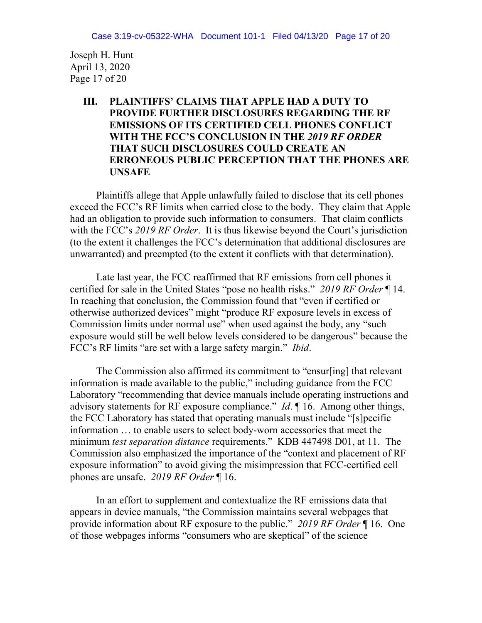Joseph H. Hunt April 13, 2020 Page 17 of 20

## **III. PLAINTIFFS' CLAIMS THAT APPLE HAD A DUTY TO PROVIDE FURTHER DISCLOSURES REGARDING THE RF EMISSIONS OF ITS CERTIFIED CELL PHONES CONFLICT WITH THE FCC'S CONCLUSION IN THE** *2019 RF ORDER* **THAT SUCH DISCLOSURES COULD CREATE AN ERRONEOUS PUBLIC PERCEPTION THAT THE PHONES ARE UNSAFE**

Plaintiffs allege that Apple unlawfully failed to disclose that its cell phones exceed the FCC's RF limits when carried close to the body. They claim that Apple had an obligation to provide such information to consumers. That claim conflicts with the FCC's *2019 RF Order*. It is thus likewise beyond the Court's jurisdiction (to the extent it challenges the FCC's determination that additional disclosures are unwarranted) and preempted (to the extent it conflicts with that determination).

Late last year, the FCC reaffirmed that RF emissions from cell phones it certified for sale in the United States "pose no health risks." *2019 RF Order* ¶ 14. In reaching that conclusion, the Commission found that "even if certified or otherwise authorized devices" might "produce RF exposure levels in excess of Commission limits under normal use" when used against the body, any "such exposure would still be well below levels considered to be dangerous" because the FCC's RF limits "are set with a large safety margin." *Ibid*.

The Commission also affirmed its commitment to "ensur[ing] that relevant information is made available to the public," including guidance from the FCC Laboratory "recommending that device manuals include operating instructions and advisory statements for RF exposure compliance." *Id*. ¶ 16. Among other things, the FCC Laboratory has stated that operating manuals must include "[s]pecific information … to enable users to select body-worn accessories that meet the minimum *test separation distance* requirements." KDB 447498 D01, at 11. The Commission also emphasized the importance of the "context and placement of RF exposure information" to avoid giving the misimpression that FCC-certified cell phones are unsafe. *2019 RF Order* ¶ 16.

In an effort to supplement and contextualize the RF emissions data that appears in device manuals, "the Commission maintains several webpages that provide information about RF exposure to the public." *2019 RF Order* ¶ 16. One of those webpages informs "consumers who are skeptical" of the science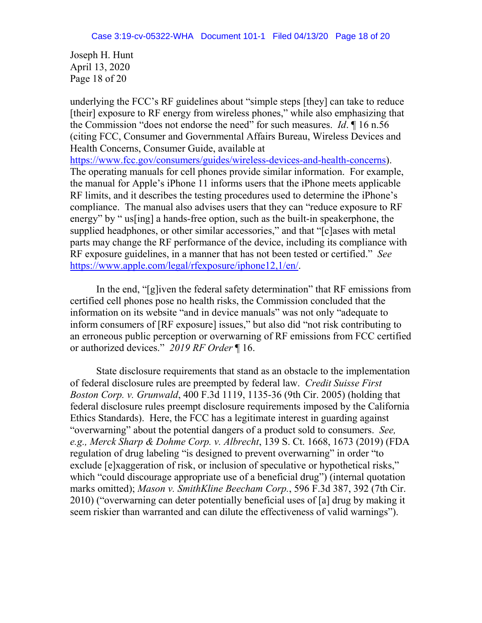Joseph H. Hunt April 13, 2020 Page 18 of 20

underlying the FCC's RF guidelines about "simple steps [they] can take to reduce [their] exposure to RF energy from wireless phones," while also emphasizing that the Commission "does not endorse the need" for such measures. *Id*. ¶ 16 n.56 (citing FCC, Consumer and Governmental Affairs Bureau, Wireless Devices and Health Concerns, Consumer Guide, available at [https://www.fcc.gov/consumers/guides/wireless-devices-and-health-concerns\)](https://www.fcc.gov/consumers/guides/wireless-devices-and-health-concerns). The operating manuals for cell phones provide similar information. For example, the manual for Apple's iPhone 11 informs users that the iPhone meets applicable RF limits, and it describes the testing procedures used to determine the iPhone's compliance. The manual also advises users that they can "reduce exposure to RF energy" by " us[ing] a hands-free option, such as the built-in speakerphone, the supplied headphones, or other similar accessories," and that "[c]ases with metal parts may change the RF performance of the device, including its compliance with RF exposure guidelines, in a manner that has not been tested or certified." *See*  [https://www.apple.com/legal/rfexposure/iphone12,1/en/.](https://www.apple.com/legal/rfexposure/iphone12,1/en/)

In the end, "[g]iven the federal safety determination" that RF emissions from certified cell phones pose no health risks, the Commission concluded that the information on its website "and in device manuals" was not only "adequate to inform consumers of [RF exposure] issues," but also did "not risk contributing to an erroneous public perception or overwarning of RF emissions from FCC certified or authorized devices." *2019 RF Order* ¶ 16.

State disclosure requirements that stand as an obstacle to the implementation of federal disclosure rules are preempted by federal law. *Credit Suisse First Boston Corp. v. Grunwald*, 400 F.3d 1119, 1135-36 (9th Cir. 2005) (holding that federal disclosure rules preempt disclosure requirements imposed by the California Ethics Standards). Here, the FCC has a legitimate interest in guarding against "overwarning" about the potential dangers of a product sold to consumers. *See, e.g., Merck Sharp & Dohme Corp. v. Albrecht*, 139 S. Ct. 1668, 1673 (2019) (FDA regulation of drug labeling "is designed to prevent overwarning" in order "to exclude [e]xaggeration of risk, or inclusion of speculative or hypothetical risks," which "could discourage appropriate use of a beneficial drug") (internal quotation marks omitted); *Mason v. SmithKline Beecham Corp.*, 596 F.3d 387, 392 (7th Cir. 2010) ("overwarning can deter potentially beneficial uses of [a] drug by making it seem riskier than warranted and can dilute the effectiveness of valid warnings").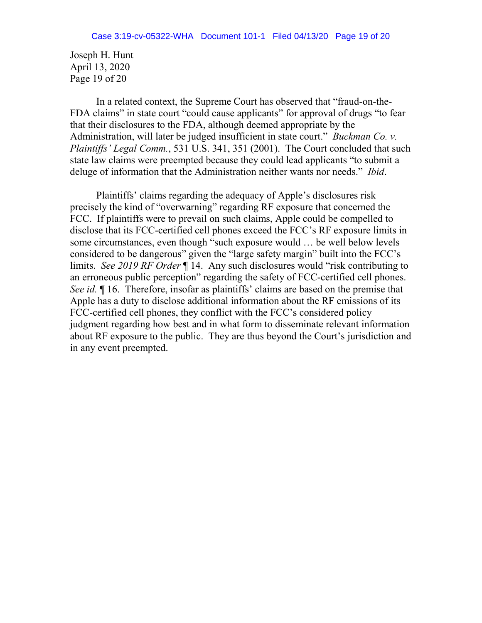Joseph H. Hunt April 13, 2020 Page 19 of 20

In a related context, the Supreme Court has observed that "fraud-on-the-FDA claims" in state court "could cause applicants" for approval of drugs "to fear that their disclosures to the FDA, although deemed appropriate by the Administration, will later be judged insufficient in state court." *Buckman Co. v. Plaintiffs' Legal Comm.*, 531 U.S. 341, 351 (2001). The Court concluded that such state law claims were preempted because they could lead applicants "to submit a deluge of information that the Administration neither wants nor needs." *Ibid*.

Plaintiffs' claims regarding the adequacy of Apple's disclosures risk precisely the kind of "overwarning" regarding RF exposure that concerned the FCC. If plaintiffs were to prevail on such claims, Apple could be compelled to disclose that its FCC-certified cell phones exceed the FCC's RF exposure limits in some circumstances, even though "such exposure would … be well below levels considered to be dangerous" given the "large safety margin" built into the FCC's limits. *See 2019 RF Order* ¶ 14. Any such disclosures would "risk contributing to an erroneous public perception" regarding the safety of FCC-certified cell phones. *See id.*  $\parallel$  16. Therefore, insofar as plaintiffs' claims are based on the premise that Apple has a duty to disclose additional information about the RF emissions of its FCC-certified cell phones, they conflict with the FCC's considered policy judgment regarding how best and in what form to disseminate relevant information about RF exposure to the public. They are thus beyond the Court's jurisdiction and in any event preempted.